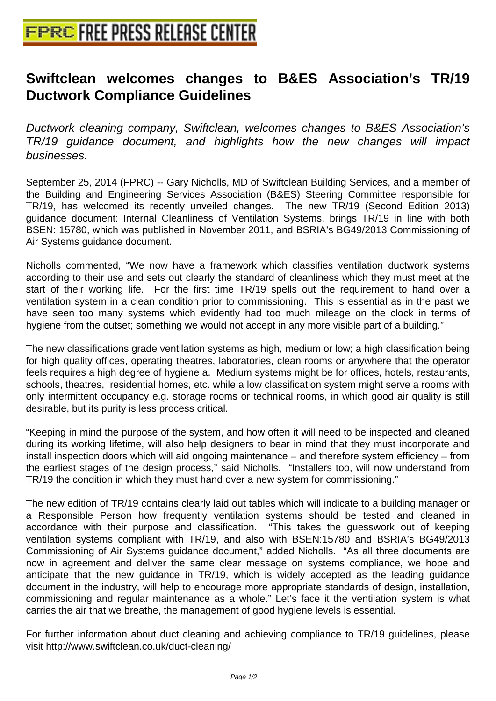## **[Swiftclean welcomes changes t](http://www.free-press-release-center.info)o B&ES Association's TR/19 Ductwork Compliance Guidelines**

Ductwork cleaning company, Swiftclean, welcomes changes to B&ES Association's TR/19 guidance document, and highlights how the new changes will impact businesses.

September 25, 2014 (FPRC) -- Gary Nicholls, MD of Swiftclean Building Services, and a member of the Building and Engineering Services Association (B&ES) Steering Committee responsible for TR/19, has welcomed its recently unveiled changes. The new TR/19 (Second Edition 2013) guidance document: Internal Cleanliness of Ventilation Systems, brings TR/19 in line with both BSEN: 15780, which was published in November 2011, and BSRIA's BG49/2013 Commissioning of Air Systems guidance document.

Nicholls commented, "We now have a framework which classifies ventilation ductwork systems according to their use and sets out clearly the standard of cleanliness which they must meet at the start of their working life. For the first time TR/19 spells out the requirement to hand over a ventilation system in a clean condition prior to commissioning. This is essential as in the past we have seen too many systems which evidently had too much mileage on the clock in terms of hygiene from the outset; something we would not accept in any more visible part of a building."

The new classifications grade ventilation systems as high, medium or low; a high classification being for high quality offices, operating theatres, laboratories, clean rooms or anywhere that the operator feels requires a high degree of hygiene a. Medium systems might be for offices, hotels, restaurants, schools, theatres, residential homes, etc. while a low classification system might serve a rooms with only intermittent occupancy e.g. storage rooms or technical rooms, in which good air quality is still desirable, but its purity is less process critical.

"Keeping in mind the purpose of the system, and how often it will need to be inspected and cleaned during its working lifetime, will also help designers to bear in mind that they must incorporate and install inspection doors which will aid ongoing maintenance – and therefore system efficiency – from the earliest stages of the design process," said Nicholls. "Installers too, will now understand from TR/19 the condition in which they must hand over a new system for commissioning."

The new edition of TR/19 contains clearly laid out tables which will indicate to a building manager or a Responsible Person how frequently ventilation systems should be tested and cleaned in accordance with their purpose and classification. "This takes the guesswork out of keeping ventilation systems compliant with TR/19, and also with BSEN:15780 and BSRIA's BG49/2013 Commissioning of Air Systems guidance document," added Nicholls. "As all three documents are now in agreement and deliver the same clear message on systems compliance, we hope and anticipate that the new guidance in TR/19, which is widely accepted as the leading guidance document in the industry, will help to encourage more appropriate standards of design, installation, commissioning and regular maintenance as a whole." Let's face it the ventilation system is what carries the air that we breathe, the management of good hygiene levels is essential.

For further information about duct cleaning and achieving compliance to TR/19 guidelines, please visit http://www.swiftclean.co.uk/duct-cleaning/